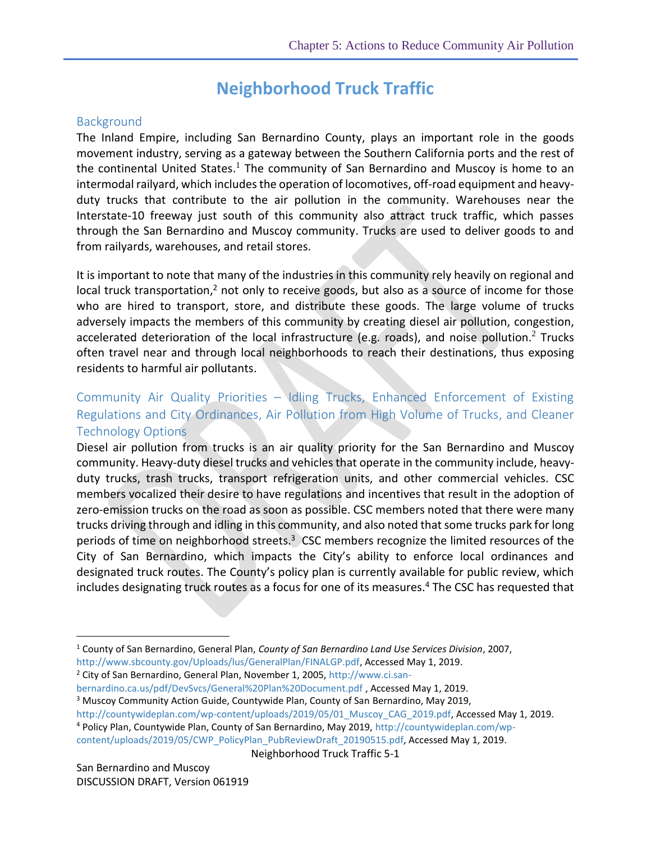# <span id="page-0-1"></span>**Neighborhood Truck Traffic**

#### **Background**

The Inland Empire, including San Bernardino County, plays an important role in the goods movement industry, serving as a gateway between the Southern California ports and the rest of the continental United States.<sup>1</sup> The community of San Bernardino and Muscoy is home to an intermodal railyard, which includes the operation of locomotives, off-road equipment and heavyduty trucks that contribute to the air pollution in the community. Warehouses near the Interstate-10 freeway just south of this community also attract truck traffic, which passes through the San Bernardino and Muscoy community. Trucks are used to deliver goods to and from railyards, warehouses, and retail stores.

<span id="page-0-2"></span><span id="page-0-0"></span>It is important to note that many of the industries in this community rely heavily on regional and local truck transportation,<sup>2</sup> not only to receive goods, but also as a source of income for those who are hired to transport, store, and distribute these goods. The large volume of trucks adversely impacts the members of this community by creating diesel air pollution, congestion, accelerated deterioration of the local infrastructure (e.g. roads), and noise pollution.<sup>[2](#page-0-0)</sup> Trucks often travel near and through local neighborhoods to reach their destinations, thus exposing residents to harmful air pollutants.

## Community Air Quality Priorities – Idling Trucks, Enhanced Enforcement of Existing Regulations and City Ordinances, Air Pollution from High Volume of Trucks, and Cleaner Technology Options

Diesel air pollution from trucks is an air quality priority for the San Bernardino and Muscoy community. Heavy-duty diesel trucks and vehicles that operate in the community include, heavyduty trucks, trash trucks, transport refrigeration units, and other commercial vehicles. CSC members vocalized their desire to have regulations and incentives that result in the adoption of zero-emission trucks on the road as soon as possible. CSC members noted that there were many trucks driving through and idling in this community, and also noted that some trucks park for long periods of time on neighborhood streets. $3$  CSC members recognize the limited resources of the City of San Bernardino, which impacts the City's ability to enforce local ordinances and designated truck routes. The County's policy plan is currently available for public review, which includes designating truck routes as a focus for one of its measures.<sup>4</sup> The CSC has requested that

[bernardino.ca.us/pdf/DevSvcs/General%20Plan%20Document.pdf](http://www.ci.san-bernardino.ca.us/pdf/DevSvcs/General%20Plan%20Document.pdf) , Accessed May 1, 2019.

<sup>3</sup> Muscoy Community Action Guide, Countywide Plan, County of San Bernardino, May 2019,

[http://countywideplan.com/wp-content/uploads/2019/05/01\\_Muscoy\\_CAG\\_2019.pdf,](http://countywideplan.com/wp-content/uploads/2019/05/01_Muscoy_CAG_2019.pdf) Accessed May 1, 2019.

<span id="page-0-3"></span>Neighborhood Truck Traffic 5-1

San Bernardino and Muscoy DISCUSSION DRAFT, Version 061919

 $\overline{a}$ 

<sup>1</sup> County of San Bernardino, General Plan, *County of San Bernardino Land Use Services Division*, 2007, http://www.sbcounty.gov/Uploads/lus/GeneralPlan/FINALGP.pdf, Accessed May 1, 2019.

<sup>&</sup>lt;sup>2</sup> City of San Bernardino, General Plan, November 1, 2005[, http://www.ci.san-](http://www.ci.san-bernardino.ca.us/pdf/DevSvcs/General%20Plan%20Document.pdf)

<sup>4</sup> Policy Plan, Countywide Plan, County of San Bernardino, May 2019, [http://countywideplan.com/wp-](http://countywideplan.com/wp-content/uploads/2019/05/CWP_PolicyPlan_PubReviewDraft_20190515.pdf)

[content/uploads/2019/05/CWP\\_PolicyPlan\\_PubReviewDraft\\_20190515.pdf,](http://countywideplan.com/wp-content/uploads/2019/05/CWP_PolicyPlan_PubReviewDraft_20190515.pdf) Accessed May 1, 2019.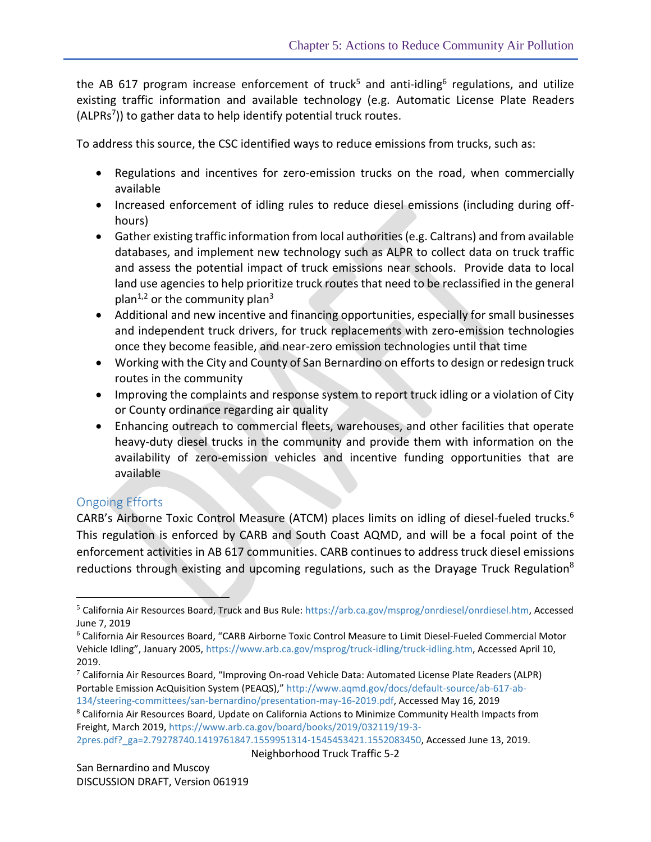the AB 617 program increase enforcement of truck<sup>5</sup> and anti-idling<sup>6</sup> regulations, and utilize existing traffic information and available technology (e.g. Automatic License Plate Readers (ALPRs<sup>7</sup>)) to gather data to help identify potential truck routes.

To address this source, the CSC identified ways to reduce emissions from trucks, such as:

- <span id="page-1-0"></span> Regulations and incentives for zero-emission trucks on the road, when commercially available
- Increased enforcement of idling rules to reduce diesel emissions (including during offhours)
- Gather existing traffic information from local authorities (e.g. Caltrans) and from available databases, and implement new technology such as ALPR to collect data on truck traffic and assess the potential impact of truck emissions near schools. Provide data to local land use agencies to help prioritize truck routes that need to be reclassified in the general plan<sup>[1](#page-0-1)[,2](#page-0-2)</sup> or the community plan<sup>[3](#page-0-3)</sup>
- Additional and new incentive and financing opportunities, especially for small businesses and independent truck drivers, for truck replacements with zero-emission technologies once they become feasible, and near-zero emission technologies until that time
- Working with the City and County of San Bernardino on efforts to design or redesign truck routes in the community
- Improving the complaints and response system to report truck idling or a violation of City or County ordinance regarding air quality
- Enhancing outreach to commercial fleets, warehouses, and other facilities that operate heavy-duty diesel trucks in the community and provide them with information on the availability of zero-emission vehicles and incentive funding opportunities that are available

### Ongoing Efforts

 $\overline{a}$ 

CARB's Airborne Toxic Control Measure (ATCM) places limits on idling of diesel-fueled trucks. [6](#page-1-0) This regulation is enforced by CARB and South Coast AQMD, and will be a focal point of the enforcement activities in AB 617 communities. CARB continues to address truck diesel emissions reductions through existing and upcoming regulations, such as the Drayage Truck Regulation<sup>8</sup>

<sup>8</sup> California Air Resources Board, Update on California Actions to Minimize Community Health Impacts from Freight, March 2019, [https://www.arb.ca.gov/board/books/2019/032119/19-3-](https://www.arb.ca.gov/board/books/2019/032119/19-3-2pres.pdf?_ga=2.79278740.1419761847.1559951314-1545453421.1552083450)

[2pres.pdf?\\_ga=2.79278740.1419761847.1559951314-1545453421.1552083450,](https://www.arb.ca.gov/board/books/2019/032119/19-3-2pres.pdf?_ga=2.79278740.1419761847.1559951314-1545453421.1552083450) Accessed June 13, 2019.

<sup>5</sup> California Air Resources Board, Truck and Bus Rule: [https://arb.ca.gov/msprog/onrdiesel/onrdiesel.htm,](https://arb.ca.gov/msprog/onrdiesel/onrdiesel.htm) Accessed June 7, 2019

<sup>6</sup> California Air Resources Board, "CARB Airborne Toxic Control Measure to Limit Diesel-Fueled Commercial Motor Vehicle Idling", January 2005, [https://www.arb.ca.gov/msprog/truck-idling/truck-idling.htm,](https://www.arb.ca.gov/msprog/truck-idling/truck-idling.htm) Accessed April 10, 2019.

 $7$  California Air Resources Board, "Improving On-road Vehicle Data: Automated License Plate Readers (ALPR) Portable Emission AcQuisition System (PEAQS)," [http://www.aqmd.gov/docs/default-source/ab-617-ab-](http://www.aqmd.gov/docs/default-source/ab-617-ab-134/steering-committees/san-bernardino/presentation-may-16-2019.pdf)

[<sup>134/</sup>steering-committees/san-bernardino/presentation-may-16-2019.pdf,](http://www.aqmd.gov/docs/default-source/ab-617-ab-134/steering-committees/san-bernardino/presentation-may-16-2019.pdf) Accessed May 16, 2019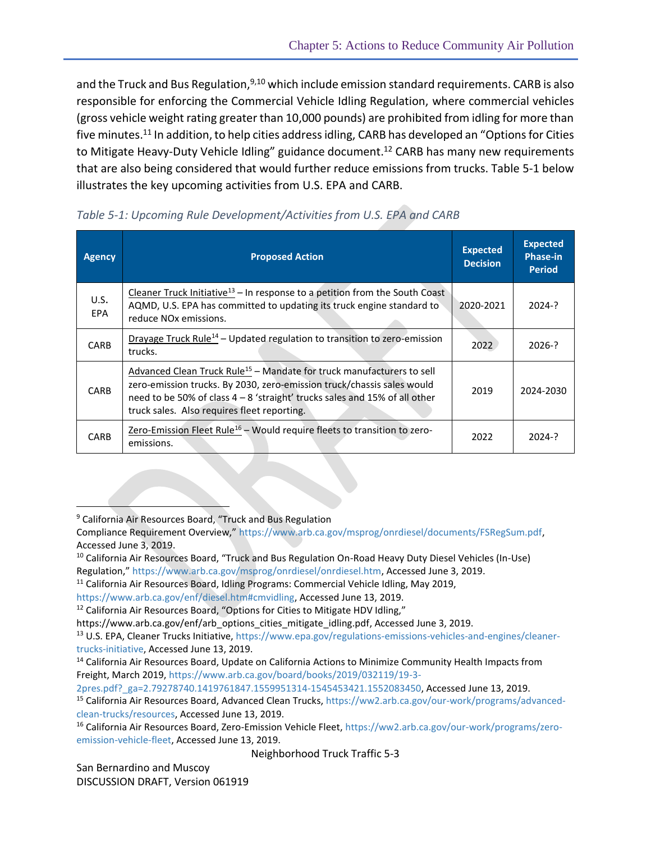and the Truck and Bus Regulation, 9,10 which include emission standard requirements. CARB is also responsible for enforcing the Commercial Vehicle Idling Regulation, where commercial vehicles (gross vehicle weight rating greater than 10,000 pounds) are prohibited from idling for more than five minutes.<sup>11</sup> In addition, to help cities address idling, CARB has developed an "Options for Cities to Mitigate Heavy-Duty Vehicle Idling" guidance document.<sup>12</sup> CARB has many new requirements that are also being considered that would further reduce emissions from trucks. Table 5-1 below illustrates the key upcoming activities from U.S. EPA and CARB.

| <b>Agency</b>      | <b>Proposed Action</b>                                                                                                                                                                                                                                                                   | <b>Expected</b><br><b>Decision</b> | <b>Expected</b><br><b>Phase-in</b><br><b>Period</b> |
|--------------------|------------------------------------------------------------------------------------------------------------------------------------------------------------------------------------------------------------------------------------------------------------------------------------------|------------------------------------|-----------------------------------------------------|
| U.S.<br><b>EPA</b> | Cleaner Truck Initiative <sup>13</sup> – In response to a petition from the South Coast<br>AQMD, U.S. EPA has committed to updating its truck engine standard to<br>reduce NO <sub>x</sub> emissions.                                                                                    | 2020-2021                          | $2024 - ?$                                          |
| <b>CARB</b>        | Drayage Truck Rule <sup>14</sup> – Updated regulation to transition to zero-emission<br>trucks.                                                                                                                                                                                          | 2022                               | $2026-?$                                            |
| <b>CARB</b>        | Advanced Clean Truck Rule <sup>15</sup> – Mandate for truck manufacturers to sell<br>zero-emission trucks. By 2030, zero-emission truck/chassis sales would<br>need to be 50% of class 4 - 8 'straight' trucks sales and 15% of all other<br>truck sales. Also requires fleet reporting. | 2019                               | 2024-2030                                           |
| CARB               | Zero-Emission Fleet Rule <sup>16</sup> - Would require fleets to transition to zero-<br>emissions.                                                                                                                                                                                       | 2022                               | $2024 - ?$                                          |

*Table 5-1: Upcoming Rule Development/Activities from U.S. EPA and CARB*

 $\overline{a}$ 

[2pres.pdf?\\_ga=2.79278740.1419761847.1559951314-1545453421.1552083450,](https://www.arb.ca.gov/board/books/2019/032119/19-3-2pres.pdf?_ga=2.79278740.1419761847.1559951314-1545453421.1552083450) Accessed June 13, 2019.

San Bernardino and Muscoy DISCUSSION DRAFT, Version 061919

<sup>9</sup> California Air Resources Board, "Truck and Bus Regulation

Compliance Requirement Overview," [https://www.arb.ca.gov/msprog/onrdiesel/documents/FSRegSum.pdf,](https://www.arb.ca.gov/msprog/onrdiesel/documents/FSRegSum.pdf) Accessed June 3, 2019.

<sup>10</sup> California Air Resources Board, "Truck and Bus Regulation On-Road Heavy Duty Diesel Vehicles (In-Use) Regulation," [https://www.arb.ca.gov/msprog/onrdiesel/onrdiesel.htm,](https://www.arb.ca.gov/msprog/onrdiesel/onrdiesel.htm) Accessed June 3, 2019.

<sup>&</sup>lt;sup>11</sup> California Air Resources Board, Idling Programs: Commercial Vehicle Idling, May 2019,

[https://www.arb.ca.gov/enf/diesel.htm#cmvidling,](https://www.arb.ca.gov/enf/diesel.htm#cmvidling) Accessed June 13, 2019.

<sup>&</sup>lt;sup>12</sup> California Air Resources Board, "Options for Cities to Mitigate HDV Idling,"

[https://www.arb.ca.gov/enf/arb\\_options\\_cities\\_mitigate\\_idling.pdf,](https://www.arb.ca.gov/enf/arb_options_cities_mitigate_idling.pdf) Accessed June 3, 2019.

<sup>13</sup> U.S. EPA, Cleaner Trucks Initiative, [https://www.epa.gov/regulations-emissions-vehicles-and-engines/cleaner](https://www.epa.gov/regulations-emissions-vehicles-and-engines/cleaner-trucks-initiative)[trucks-initiative,](https://www.epa.gov/regulations-emissions-vehicles-and-engines/cleaner-trucks-initiative) Accessed June 13, 2019.

<sup>&</sup>lt;sup>14</sup> California Air Resources Board, Update on California Actions to Minimize Community Health Impacts from Freight, March 2019, [https://www.arb.ca.gov/board/books/2019/032119/19-3-](https://www.arb.ca.gov/board/books/2019/032119/19-3-2pres.pdf?_ga=2.79278740.1419761847.1559951314-1545453421.1552083450)

<sup>15</sup> California Air Resources Board, Advanced Clean Trucks, [https://ww2.arb.ca.gov/our-work/programs/advanced](https://ww2.arb.ca.gov/our-work/programs/advanced-clean-trucks/resources)[clean-trucks/resources,](https://ww2.arb.ca.gov/our-work/programs/advanced-clean-trucks/resources) Accessed June 13, 2019.

<sup>16</sup> California Air Resources Board, Zero-Emission Vehicle Fleet, [https://ww2.arb.ca.gov/our-work/programs/zero](https://ww2.arb.ca.gov/our-work/programs/zero-emission-vehicle-fleet)[emission-vehicle-fleet,](https://ww2.arb.ca.gov/our-work/programs/zero-emission-vehicle-fleet) Accessed June 13, 2019.

Neighborhood Truck Traffic 5-3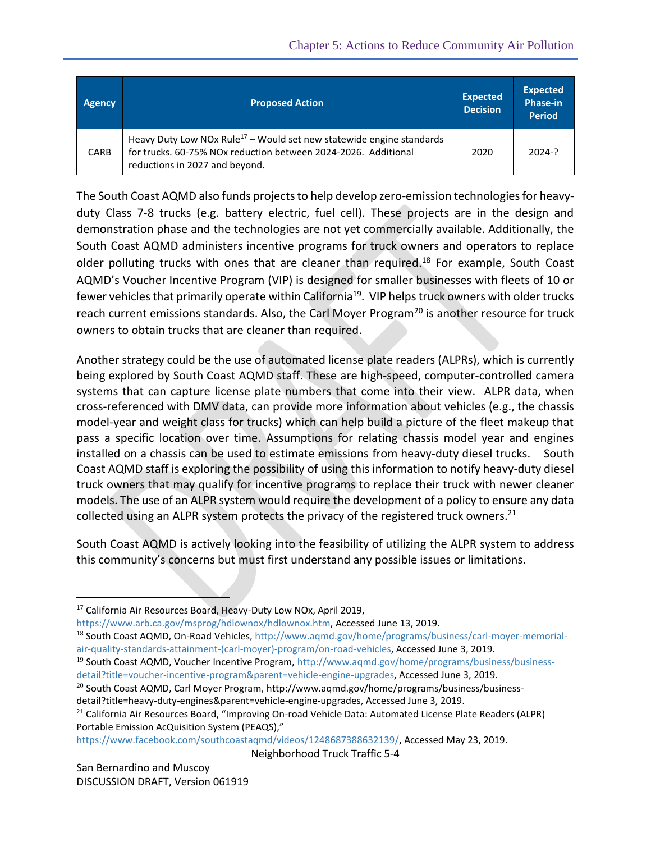| <b>Agency</b> | <b>Proposed Action</b>                                                                                                                                                               | <b>Expected</b><br><b>Decision</b> | <b>Expected</b><br><b>Phase-in</b><br><b>Period</b> |
|---------------|--------------------------------------------------------------------------------------------------------------------------------------------------------------------------------------|------------------------------------|-----------------------------------------------------|
| <b>CARB</b>   | Heavy Duty Low NOx Rule <sup>17</sup> - Would set new statewide engine standards<br>for trucks, 60-75% NOx reduction between 2024-2026. Additional<br>reductions in 2027 and beyond. | 2020                               | 2024-?                                              |

The South Coast AQMD also funds projects to help develop zero-emission technologiesfor heavyduty Class 7-8 trucks (e.g. battery electric, fuel cell). These projects are in the design and demonstration phase and the technologies are not yet commercially available. Additionally, the South Coast AQMD administers incentive programs for truck owners and operators to replace older polluting trucks with ones that are cleaner than required.<sup>18</sup> For example, South Coast AQMD's Voucher Incentive Program (VIP) is designed for smaller businesses with fleets of 10 or fewer vehicles that primarily operate within California<sup>19</sup>. VIP helps truck owners with older trucks reach current emissions standards. Also, the Carl Moyer Program<sup>20</sup> is another resource for truck owners to obtain trucks that are cleaner than required.

Another strategy could be the use of automated license plate readers (ALPRs), which is currently being explored by South Coast AQMD staff. These are high-speed, computer-controlled camera systems that can capture license plate numbers that come into their view. ALPR data, when cross-referenced with DMV data, can provide more information about vehicles (e.g., the chassis model-year and weight class for trucks) which can help build a picture of the fleet makeup that pass a specific location over time. Assumptions for relating chassis model year and engines installed on a chassis can be used to estimate emissions from heavy-duty diesel trucks. South Coast AQMD staff is exploring the possibility of using this information to notify heavy-duty diesel truck owners that may qualify for incentive programs to replace their truck with newer cleaner models. The use of an ALPR system would require the development of a policy to ensure any data collected using an ALPR system protects the privacy of the registered truck owners.<sup>21</sup>

South Coast AQMD is actively looking into the feasibility of utilizing the ALPR system to address this community's concerns but must first understand any possible issues or limitations.

[https://www.arb.ca.gov/msprog/hdlownox/hdlownox.htm,](https://www.arb.ca.gov/msprog/hdlownox/hdlownox.htm) Accessed June 13, 2019.

[https://www.facebook.com/southcoastaqmd/videos/1248687388632139/,](https://www.facebook.com/southcoastaqmd/videos/1248687388632139/) Accessed May 23, 2019.

Neighborhood Truck Traffic 5-4

 $\overline{a}$ 

<sup>17</sup> California Air Resources Board, Heavy-Duty Low NOx, April 2019,

<sup>18</sup> South Coast AQMD, On-Road Vehicles, [http://www.aqmd.gov/home/programs/business/carl-moyer-memorial](http://www.aqmd.gov/home/programs/business/carl-moyer-memorial-air-quality-standards-attainment-(carl-moyer)-program/on-road-vehicles)[air-quality-standards-attainment-\(carl-moyer\)-program/on-road-vehicles,](http://www.aqmd.gov/home/programs/business/carl-moyer-memorial-air-quality-standards-attainment-(carl-moyer)-program/on-road-vehicles) Accessed June 3, 2019.

<sup>&</sup>lt;sup>19</sup> South Coast AQMD, Voucher Incentive Program, [http://www.aqmd.gov/home/programs/business/business](http://www.aqmd.gov/home/programs/business/business-detail?title=voucher-incentive-program&parent=vehicle-engine-upgrades)[detail?title=voucher-incentive-program&parent=vehicle-engine-upgrades,](http://www.aqmd.gov/home/programs/business/business-detail?title=voucher-incentive-program&parent=vehicle-engine-upgrades) Accessed June 3, 2019.

 $^{20}$  South Coast AQMD, Carl Moyer Program, [http://www.aqmd.gov/home/programs/business/business-](http://www.aqmd.gov/home/programs/business/business-detail?title=heavy-duty-engines&parent=vehicle-engine-upgrades)

[detail?title=heavy-duty-engines&parent=vehicle-engine-upgrades,](http://www.aqmd.gov/home/programs/business/business-detail?title=heavy-duty-engines&parent=vehicle-engine-upgrades) Accessed June 3, 2019.

<sup>&</sup>lt;sup>21</sup> California Air Resources Board, "Improving On-road Vehicle Data: Automated License Plate Readers (ALPR) Portable Emission AcQuisition System (PEAQS),"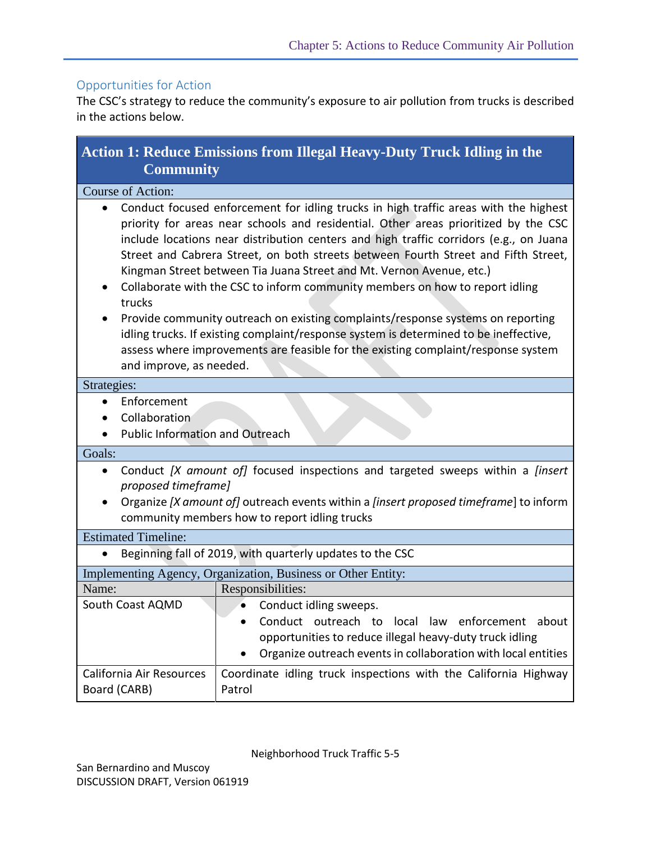## Opportunities for Action

The CSC's strategy to reduce the community's exposure to air pollution from trucks is described in the actions below.

| <b>Action 1: Reduce Emissions from Illegal Heavy-Duty Truck Idling in the</b><br><b>Community</b> |                                                                                                                                                                                                                                                                                                                                                                                                                                                                                                                                                                                                                                                                                                                                                                                      |  |
|---------------------------------------------------------------------------------------------------|--------------------------------------------------------------------------------------------------------------------------------------------------------------------------------------------------------------------------------------------------------------------------------------------------------------------------------------------------------------------------------------------------------------------------------------------------------------------------------------------------------------------------------------------------------------------------------------------------------------------------------------------------------------------------------------------------------------------------------------------------------------------------------------|--|
| Course of Action:                                                                                 |                                                                                                                                                                                                                                                                                                                                                                                                                                                                                                                                                                                                                                                                                                                                                                                      |  |
| $\bullet$<br>trucks<br>and improve, as needed.                                                    | Conduct focused enforcement for idling trucks in high traffic areas with the highest<br>priority for areas near schools and residential. Other areas prioritized by the CSC<br>include locations near distribution centers and high traffic corridors (e.g., on Juana<br>Street and Cabrera Street, on both streets between Fourth Street and Fifth Street,<br>Kingman Street between Tia Juana Street and Mt. Vernon Avenue, etc.)<br>Collaborate with the CSC to inform community members on how to report idling<br>Provide community outreach on existing complaints/response systems on reporting<br>idling trucks. If existing complaint/response system is determined to be ineffective,<br>assess where improvements are feasible for the existing complaint/response system |  |
| Strategies:                                                                                       |                                                                                                                                                                                                                                                                                                                                                                                                                                                                                                                                                                                                                                                                                                                                                                                      |  |
| Enforcement<br>Collaboration<br>$\bullet$<br><b>Public Information and Outreach</b>               |                                                                                                                                                                                                                                                                                                                                                                                                                                                                                                                                                                                                                                                                                                                                                                                      |  |
| Goals:                                                                                            |                                                                                                                                                                                                                                                                                                                                                                                                                                                                                                                                                                                                                                                                                                                                                                                      |  |
| $\bullet$<br>proposed timeframe]<br>٠                                                             | Conduct [X amount of] focused inspections and targeted sweeps within a [insert<br>Organize [X amount of] outreach events within a [insert proposed timeframe] to inform<br>community members how to report idling trucks                                                                                                                                                                                                                                                                                                                                                                                                                                                                                                                                                             |  |
| <b>Estimated Timeline:</b>                                                                        |                                                                                                                                                                                                                                                                                                                                                                                                                                                                                                                                                                                                                                                                                                                                                                                      |  |
|                                                                                                   | Beginning fall of 2019, with quarterly updates to the CSC                                                                                                                                                                                                                                                                                                                                                                                                                                                                                                                                                                                                                                                                                                                            |  |
|                                                                                                   | Implementing Agency, Organization, Business or Other Entity:                                                                                                                                                                                                                                                                                                                                                                                                                                                                                                                                                                                                                                                                                                                         |  |
| Name:                                                                                             | Responsibilities:                                                                                                                                                                                                                                                                                                                                                                                                                                                                                                                                                                                                                                                                                                                                                                    |  |
| South Coast AQMD                                                                                  | Conduct idling sweeps.<br>Conduct outreach to local law enforcement<br>about<br>opportunities to reduce illegal heavy-duty truck idling<br>Organize outreach events in collaboration with local entities                                                                                                                                                                                                                                                                                                                                                                                                                                                                                                                                                                             |  |
| California Air Resources<br>Board (CARB)                                                          | Coordinate idling truck inspections with the California Highway<br>Patrol                                                                                                                                                                                                                                                                                                                                                                                                                                                                                                                                                                                                                                                                                                            |  |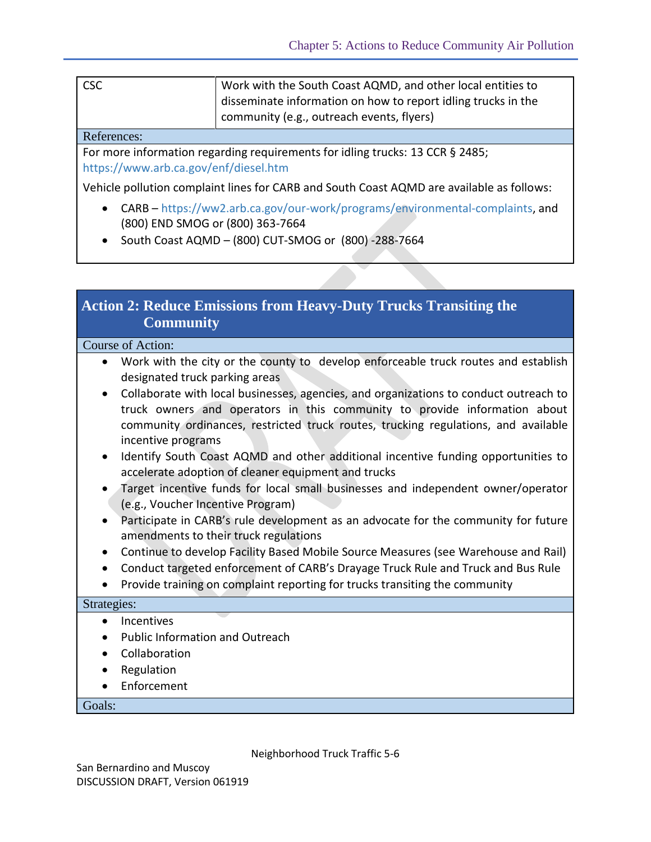| <b>CSC</b> | Work with the South Coast AQMD, and other local entities to   |
|------------|---------------------------------------------------------------|
|            | disseminate information on how to report idling trucks in the |
|            | community (e.g., outreach events, flyers)                     |

#### References:

For more information regarding requirements for idling trucks: 13 CCR § 2485; <https://www.arb.ca.gov/enf/diesel.htm>

Vehicle pollution complaint lines for CARB and South Coast AQMD are available as follows:

- CARB [https://ww2.arb.ca.gov/our-work/programs/environmental-complaints,](https://ww2.arb.ca.gov/our-work/programs/environmental-complaints) and (800) END SMOG or (800) 363-7664
- $\bullet$  South Coast AQMD (800) CUT-SMOG or (800) -288-7664

## **Action 2: Reduce Emissions from Heavy-Duty Trucks Transiting the Community**

#### Course of Action:

- Work with the city or the county to develop enforceable truck routes and establish designated truck parking areas
- Collaborate with local businesses, agencies, and organizations to conduct outreach to truck owners and operators in this community to provide information about community ordinances, restricted truck routes, trucking regulations, and available incentive programs
- Identify South Coast AQMD and other additional incentive funding opportunities to accelerate adoption of cleaner equipment and trucks
- Target incentive funds for local small businesses and independent owner/operator (e.g., Voucher Incentive Program)
- Participate in CARB's rule development as an advocate for the community for future amendments to their truck regulations
- Continue to develop Facility Based Mobile Source Measures (see Warehouse and Rail)
- Conduct targeted enforcement of CARB's Drayage Truck Rule and Truck and Bus Rule
- Provide training on complaint reporting for trucks transiting the community

#### Strategies:

- Incentives
- Public Information and Outreach
- Collaboration
- Regulation
- Enforcement

Goals: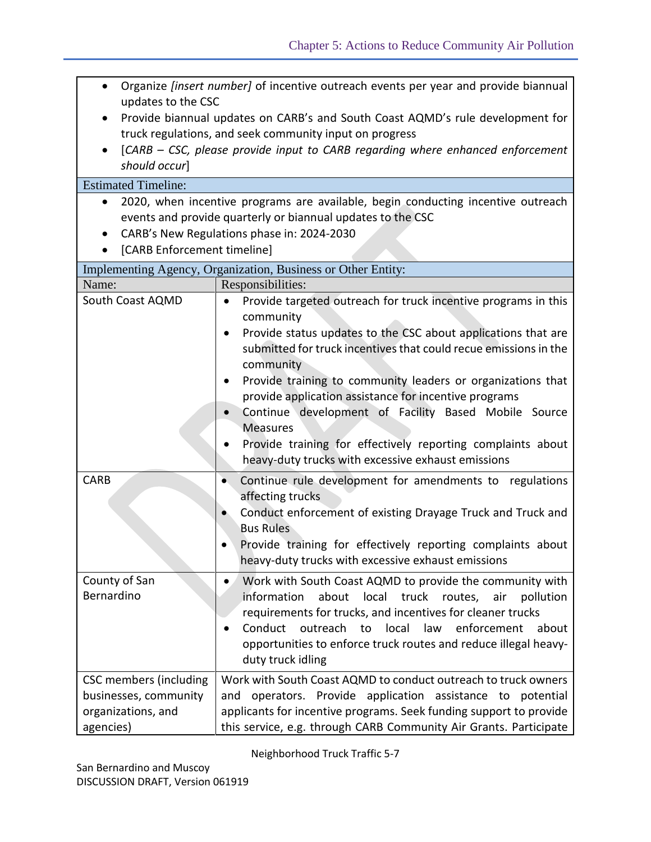| Organize [insert number] of incentive outreach events per year and provide biannual<br>$\bullet$<br>updates to the CSC<br>Provide biannual updates on CARB's and South Coast AQMD's rule development for<br>truck regulations, and seek community input on progress<br>[CARB – CSC, please provide input to CARB regarding where enhanced enforcement<br>$\bullet$<br>should occur]<br><b>Estimated Timeline:</b><br>2020, when incentive programs are available, begin conducting incentive outreach<br>$\bullet$<br>events and provide quarterly or biannual updates to the CSC<br>CARB's New Regulations phase in: 2024-2030<br>[CARB Enforcement timeline] |                                                                                                                                                                                                                                                                                                                                                                                                                                                                                          |  |  |
|----------------------------------------------------------------------------------------------------------------------------------------------------------------------------------------------------------------------------------------------------------------------------------------------------------------------------------------------------------------------------------------------------------------------------------------------------------------------------------------------------------------------------------------------------------------------------------------------------------------------------------------------------------------|------------------------------------------------------------------------------------------------------------------------------------------------------------------------------------------------------------------------------------------------------------------------------------------------------------------------------------------------------------------------------------------------------------------------------------------------------------------------------------------|--|--|
|                                                                                                                                                                                                                                                                                                                                                                                                                                                                                                                                                                                                                                                                | Implementing Agency, Organization, Business or Other Entity:                                                                                                                                                                                                                                                                                                                                                                                                                             |  |  |
| Name:                                                                                                                                                                                                                                                                                                                                                                                                                                                                                                                                                                                                                                                          | Responsibilities:                                                                                                                                                                                                                                                                                                                                                                                                                                                                        |  |  |
| South Coast AQMD                                                                                                                                                                                                                                                                                                                                                                                                                                                                                                                                                                                                                                               | Provide targeted outreach for truck incentive programs in this<br>٠<br>community                                                                                                                                                                                                                                                                                                                                                                                                         |  |  |
|                                                                                                                                                                                                                                                                                                                                                                                                                                                                                                                                                                                                                                                                | Provide status updates to the CSC about applications that are<br>٠<br>submitted for truck incentives that could recue emissions in the<br>community<br>Provide training to community leaders or organizations that<br>$\bullet$<br>provide application assistance for incentive programs<br>Continue development of Facility Based Mobile Source<br><b>Measures</b><br>Provide training for effectively reporting complaints about<br>heavy-duty trucks with excessive exhaust emissions |  |  |
| <b>CARB</b>                                                                                                                                                                                                                                                                                                                                                                                                                                                                                                                                                                                                                                                    | Continue rule development for amendments to regulations<br>$\bullet$<br>affecting trucks<br>Conduct enforcement of existing Drayage Truck and Truck and<br><b>Bus Rules</b><br>Provide training for effectively reporting complaints about<br>heavy-duty trucks with excessive exhaust emissions                                                                                                                                                                                         |  |  |
| County of San                                                                                                                                                                                                                                                                                                                                                                                                                                                                                                                                                                                                                                                  | Work with South Coast AQMD to provide the community with<br>$\bullet$                                                                                                                                                                                                                                                                                                                                                                                                                    |  |  |
| Bernardino                                                                                                                                                                                                                                                                                                                                                                                                                                                                                                                                                                                                                                                     | information<br>about local truck<br>routes,<br>air<br>pollution<br>requirements for trucks, and incentives for cleaner trucks<br>outreach to local law enforcement about<br>Conduct<br>opportunities to enforce truck routes and reduce illegal heavy-<br>duty truck idling                                                                                                                                                                                                              |  |  |
| <b>CSC</b> members (including<br>businesses, community<br>organizations, and<br>agencies)                                                                                                                                                                                                                                                                                                                                                                                                                                                                                                                                                                      | Work with South Coast AQMD to conduct outreach to truck owners<br>operators. Provide application assistance to potential<br>and<br>applicants for incentive programs. Seek funding support to provide<br>this service, e.g. through CARB Community Air Grants. Participate                                                                                                                                                                                                               |  |  |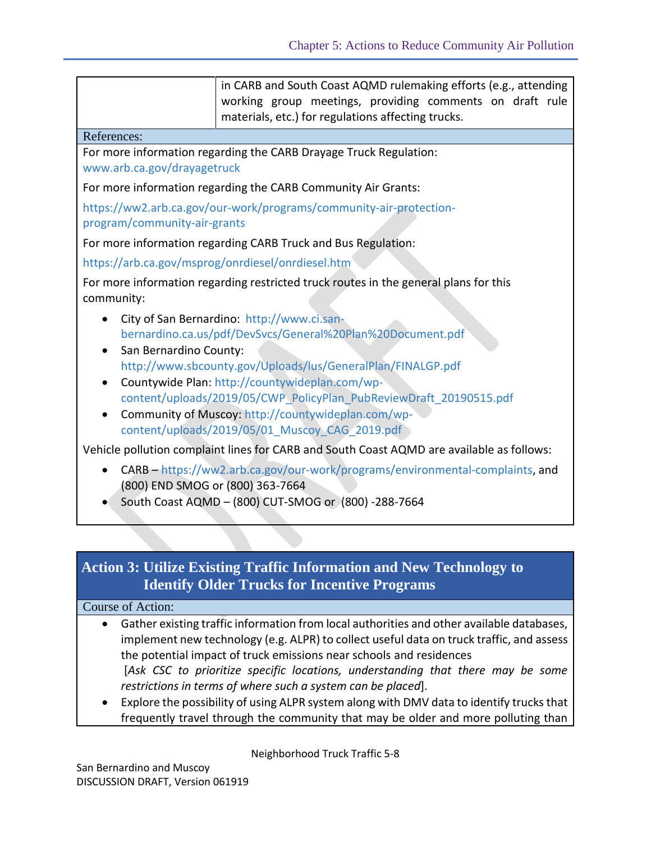|                                                   | in CARB and South Coast AQMD rulemaking efforts (e.g., attending<br>working group meetings, providing comments on draft rule<br>materials, etc.) for regulations affecting trucks.                                                                                                                                                                                                                      |
|---------------------------------------------------|---------------------------------------------------------------------------------------------------------------------------------------------------------------------------------------------------------------------------------------------------------------------------------------------------------------------------------------------------------------------------------------------------------|
| References:                                       |                                                                                                                                                                                                                                                                                                                                                                                                         |
| www.arb.ca.gov/drayagetruck                       | For more information regarding the CARB Drayage Truck Regulation:                                                                                                                                                                                                                                                                                                                                       |
|                                                   | For more information regarding the CARB Community Air Grants:                                                                                                                                                                                                                                                                                                                                           |
| program/community-air-grants                      | https://ww2.arb.ca.gov/our-work/programs/community-air-protection-                                                                                                                                                                                                                                                                                                                                      |
|                                                   | For more information regarding CARB Truck and Bus Regulation:                                                                                                                                                                                                                                                                                                                                           |
| https://arb.ca.gov/msprog/onrdiesel/onrdiesel.htm |                                                                                                                                                                                                                                                                                                                                                                                                         |
| community:                                        | For more information regarding restricted truck routes in the general plans for this                                                                                                                                                                                                                                                                                                                    |
| San Bernardino County:<br>$\bullet$<br>$\bullet$  | City of San Bernardino: http://www.ci.san-<br>bernardino.ca.us/pdf/DevSvcs/General%20Plan%20Document.pdf<br>http://www.sbcounty.gov/Uploads/lus/GeneralPlan/FINALGP.pdf<br>Countywide Plan: http://countywideplan.com/wp-<br>content/uploads/2019/05/CWP PolicyPlan PubReviewDraft 20190515.pdf<br>Community of Muscoy: http://countywideplan.com/wp-<br>content/uploads/2019/05/01 Muscoy CAG 2019.pdf |
|                                                   | Vehicle pollution complaint lines for CARB and South Coast AQMD are available as follows:                                                                                                                                                                                                                                                                                                               |
| $\bullet$<br>(800) END SMOG or (800) 363-7664     | CARB - https://ww2.arb.ca.gov/our-work/programs/environmental-complaints, and<br>South Coast AQMD - (800) CUT-SMOG or (800) -288-7664                                                                                                                                                                                                                                                                   |

# **Action 3: Utilize Existing Traffic Information and New Technology to Identify Older Trucks for Incentive Programs**

#### Course of Action:

- Gather existing traffic information from local authorities and other available databases, implement new technology (e.g. ALPR) to collect useful data on truck traffic, and assess the potential impact of truck emissions near schools and residences [*Ask CSC to prioritize specific locations, understanding that there may be some restrictions in terms of where such a system can be placed*].
- Explore the possibility of using ALPR system along with DMV data to identify trucks that frequently travel through the community that may be older and more polluting than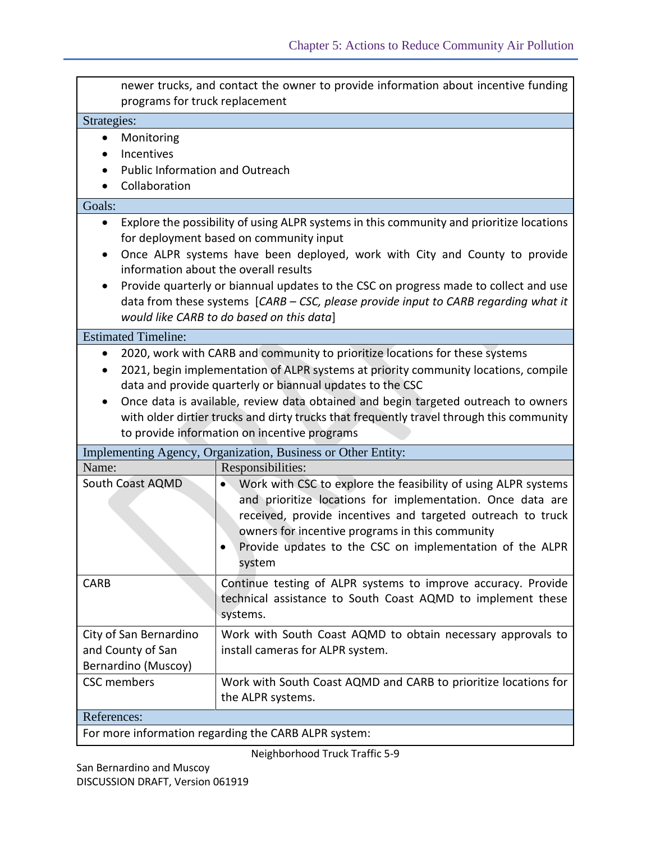|                                                                                                                                                                                                                                                                                                                                                                                                                                                                                 | newer trucks, and contact the owner to provide information about incentive funding<br>programs for truck replacement                                                                                                                                                                                                                                                                                                                                                                   |  |  |
|---------------------------------------------------------------------------------------------------------------------------------------------------------------------------------------------------------------------------------------------------------------------------------------------------------------------------------------------------------------------------------------------------------------------------------------------------------------------------------|----------------------------------------------------------------------------------------------------------------------------------------------------------------------------------------------------------------------------------------------------------------------------------------------------------------------------------------------------------------------------------------------------------------------------------------------------------------------------------------|--|--|
| Strategies:                                                                                                                                                                                                                                                                                                                                                                                                                                                                     |                                                                                                                                                                                                                                                                                                                                                                                                                                                                                        |  |  |
| Monitoring<br>Incentives<br>Public Information and Outreach<br>Collaboration                                                                                                                                                                                                                                                                                                                                                                                                    |                                                                                                                                                                                                                                                                                                                                                                                                                                                                                        |  |  |
| Goals:                                                                                                                                                                                                                                                                                                                                                                                                                                                                          |                                                                                                                                                                                                                                                                                                                                                                                                                                                                                        |  |  |
| ٠<br>$\bullet$                                                                                                                                                                                                                                                                                                                                                                                                                                                                  | Explore the possibility of using ALPR systems in this community and prioritize locations<br>for deployment based on community input<br>Once ALPR systems have been deployed, work with City and County to provide<br>information about the overall results<br>Provide quarterly or biannual updates to the CSC on progress made to collect and use<br>data from these systems [CARB - CSC, please provide input to CARB regarding what it<br>would like CARB to do based on this data] |  |  |
| <b>Estimated Timeline:</b>                                                                                                                                                                                                                                                                                                                                                                                                                                                      |                                                                                                                                                                                                                                                                                                                                                                                                                                                                                        |  |  |
| 2020, work with CARB and community to prioritize locations for these systems<br>$\bullet$<br>2021, begin implementation of ALPR systems at priority community locations, compile<br>data and provide quarterly or biannual updates to the CSC<br>Once data is available, review data obtained and begin targeted outreach to owners<br>with older dirtier trucks and dirty trucks that frequently travel through this community<br>to provide information on incentive programs |                                                                                                                                                                                                                                                                                                                                                                                                                                                                                        |  |  |
|                                                                                                                                                                                                                                                                                                                                                                                                                                                                                 | Implementing Agency, Organization, Business or Other Entity:                                                                                                                                                                                                                                                                                                                                                                                                                           |  |  |
| Name:                                                                                                                                                                                                                                                                                                                                                                                                                                                                           | Responsibilities:                                                                                                                                                                                                                                                                                                                                                                                                                                                                      |  |  |
| South Coast AQMD                                                                                                                                                                                                                                                                                                                                                                                                                                                                | Work with CSC to explore the feasibility of using ALPR systems<br>and prioritize locations for implementation. Once data are<br>received, provide incentives and targeted outreach to truck<br>owners for incentive programs in this community<br>Provide updates to the CSC on implementation of the ALPR<br>system                                                                                                                                                                   |  |  |
| <b>CARB</b>                                                                                                                                                                                                                                                                                                                                                                                                                                                                     | Continue testing of ALPR systems to improve accuracy. Provide<br>technical assistance to South Coast AQMD to implement these<br>systems.                                                                                                                                                                                                                                                                                                                                               |  |  |
| City of San Bernardino<br>and County of San<br>Bernardino (Muscoy)                                                                                                                                                                                                                                                                                                                                                                                                              | Work with South Coast AQMD to obtain necessary approvals to<br>install cameras for ALPR system.                                                                                                                                                                                                                                                                                                                                                                                        |  |  |
| <b>CSC</b> members                                                                                                                                                                                                                                                                                                                                                                                                                                                              | Work with South Coast AQMD and CARB to prioritize locations for<br>the ALPR systems.                                                                                                                                                                                                                                                                                                                                                                                                   |  |  |
| References:                                                                                                                                                                                                                                                                                                                                                                                                                                                                     |                                                                                                                                                                                                                                                                                                                                                                                                                                                                                        |  |  |
| For more information regarding the CARB ALPR system:                                                                                                                                                                                                                                                                                                                                                                                                                            |                                                                                                                                                                                                                                                                                                                                                                                                                                                                                        |  |  |